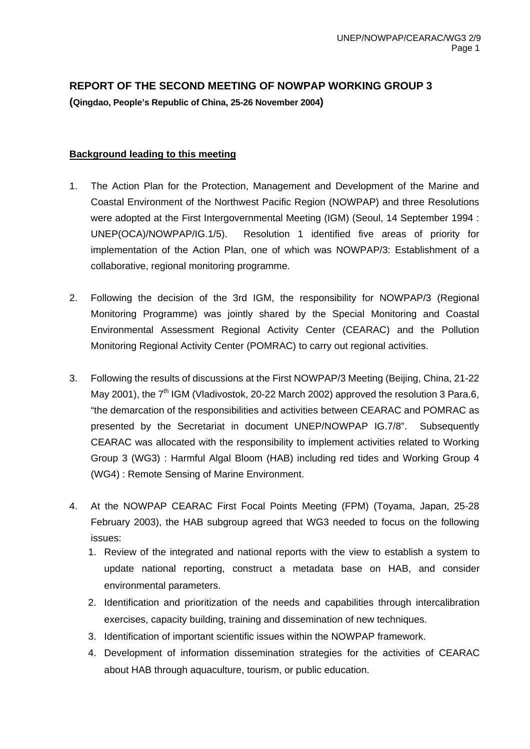# **REPORT OF THE SECOND MEETING OF NOWPAP WORKING GROUP 3**

**(Qingdao, People's Republic of China, 25-26 November 2004)** 

# **Background leading to this meeting**

- 1. The Action Plan for the Protection, Management and Development of the Marine and Coastal Environment of the Northwest Pacific Region (NOWPAP) and three Resolutions were adopted at the First Intergovernmental Meeting (IGM) (Seoul, 14 September 1994 : UNEP(OCA)/NOWPAP/IG.1/5). Resolution 1 identified five areas of priority for implementation of the Action Plan, one of which was NOWPAP/3: Establishment of a collaborative, regional monitoring programme.
- 2. Following the decision of the 3rd IGM, the responsibility for NOWPAP/3 (Regional Monitoring Programme) was jointly shared by the Special Monitoring and Coastal Environmental Assessment Regional Activity Center (CEARAC) and the Pollution Monitoring Regional Activity Center (POMRAC) to carry out regional activities.
- 3. Following the results of discussions at the First NOWPAP/3 Meeting (Beijing, China, 21-22 May 2001), the 7<sup>th</sup> IGM (Vladivostok, 20-22 March 2002) approved the resolution 3 Para.6, "the demarcation of the responsibilities and activities between CEARAC and POMRAC as presented by the Secretariat in document UNEP/NOWPAP IG.7/8". Subsequently CEARAC was allocated with the responsibility to implement activities related to Working Group 3 (WG3) : Harmful Algal Bloom (HAB) including red tides and Working Group 4 (WG4) : Remote Sensing of Marine Environment.
- 4. At the NOWPAP CEARAC First Focal Points Meeting (FPM) (Toyama, Japan, 25-28 February 2003), the HAB subgroup agreed that WG3 needed to focus on the following issues:
	- 1. Review of the integrated and national reports with the view to establish a system to update national reporting, construct a metadata base on HAB, and consider environmental parameters.
	- 2. Identification and prioritization of the needs and capabilities through intercalibration exercises, capacity building, training and dissemination of new techniques.
	- 3. Identification of important scientific issues within the NOWPAP framework.
	- 4. Development of information dissemination strategies for the activities of CEARAC about HAB through aquaculture, tourism, or public education.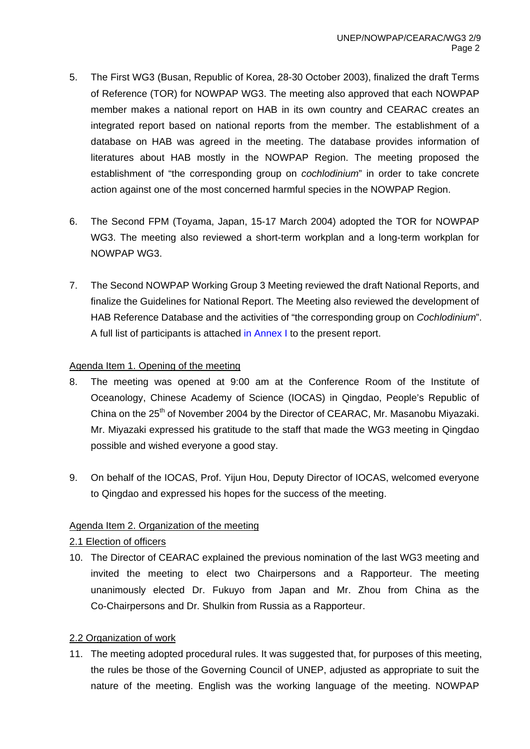- 5. The First WG3 (Busan, Republic of Korea, 28-30 October 2003), finalized the draft Terms of Reference (TOR) for NOWPAP WG3. The meeting also approved that each NOWPAP member makes a national report on HAB in its own country and CEARAC creates an integrated report based on national reports from the member. The establishment of a database on HAB was agreed in the meeting. The database provides information of literatures about HAB mostly in the NOWPAP Region. The meeting proposed the establishment of "the corresponding group on *cochlodinium*" in order to take concrete action against one of the most concerned harmful species in the NOWPAP Region.
- 6. The Second FPM (Toyama, Japan, 15-17 March 2004) adopted the TOR for NOWPAP WG3. The meeting also reviewed a short-term workplan and a long-term workplan for NOWPAP WG3.
- 7. The Second NOWPAP Working Group 3 Meeting reviewed the draft National Reports, and finalize the Guidelines for National Report. The Meeting also reviewed the development of HAB Reference Database and the activities of "the corresponding group on *Cochlodinium*". A full list of participants is attached in Annex I to the present report.

#### Agenda Item 1. Opening of the meeting

- 8. The meeting was opened at 9:00 am at the Conference Room of the Institute of Oceanology, Chinese Academy of Science (IOCAS) in Qingdao, People's Republic of China on the 25<sup>th</sup> of November 2004 by the Director of CEARAC, Mr. Masanobu Miyazaki. Mr. Miyazaki expressed his gratitude to the staff that made the WG3 meeting in Qingdao possible and wished everyone a good stay.
- 9. On behalf of the IOCAS, Prof. Yijun Hou, Deputy Director of IOCAS, welcomed everyone to Qingdao and expressed his hopes for the success of the meeting.

# Agenda Item 2. Organization of the meeting

# 2.1 Election of officers

10. The Director of CEARAC explained the previous nomination of the last WG3 meeting and invited the meeting to elect two Chairpersons and a Rapporteur. The meeting unanimously elected Dr. Fukuyo from Japan and Mr. Zhou from China as the Co-Chairpersons and Dr. Shulkin from Russia as a Rapporteur.

# 2.2 Organization of work

11. The meeting adopted procedural rules. It was suggested that, for purposes of this meeting, the rules be those of the Governing Council of UNEP, adjusted as appropriate to suit the nature of the meeting. English was the working language of the meeting. NOWPAP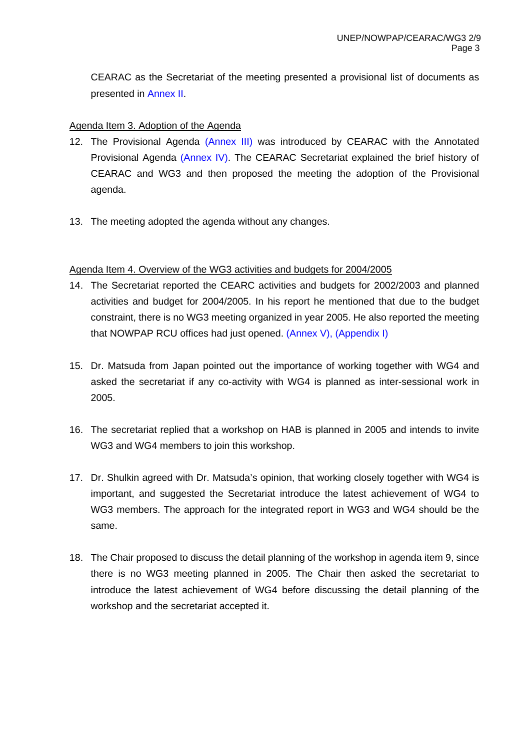CEARAC as the Secretariat of the meeting presented a provisional list of documents as presented in Annex II.

#### Agenda Item 3. Adoption of the Agenda

- 12. The Provisional Agenda (Annex III) was introduced by CEARAC with the Annotated Provisional Agenda (Annex IV). The CEARAC Secretariat explained the brief history of CEARAC and WG3 and then proposed the meeting the adoption of the Provisional agenda.
- 13. The meeting adopted the agenda without any changes.

#### Agenda Item 4. Overview of the WG3 activities and budgets for 2004/2005

- 14. The Secretariat reported the CEARC activities and budgets for 2002/2003 and planned activities and budget for 2004/2005. In his report he mentioned that due to the budget constraint, there is no WG3 meeting organized in year 2005. He also reported the meeting that NOWPAP RCU offices had just opened. (Annex V), (Appendix I)
- 15. Dr. Matsuda from Japan pointed out the importance of working together with WG4 and asked the secretariat if any co-activity with WG4 is planned as inter-sessional work in 2005.
- 16. The secretariat replied that a workshop on HAB is planned in 2005 and intends to invite WG3 and WG4 members to join this workshop.
- 17. Dr. Shulkin agreed with Dr. Matsuda's opinion, that working closely together with WG4 is important, and suggested the Secretariat introduce the latest achievement of WG4 to WG3 members. The approach for the integrated report in WG3 and WG4 should be the same.
- 18. The Chair proposed to discuss the detail planning of the workshop in agenda item 9, since there is no WG3 meeting planned in 2005. The Chair then asked the secretariat to introduce the latest achievement of WG4 before discussing the detail planning of the workshop and the secretariat accepted it.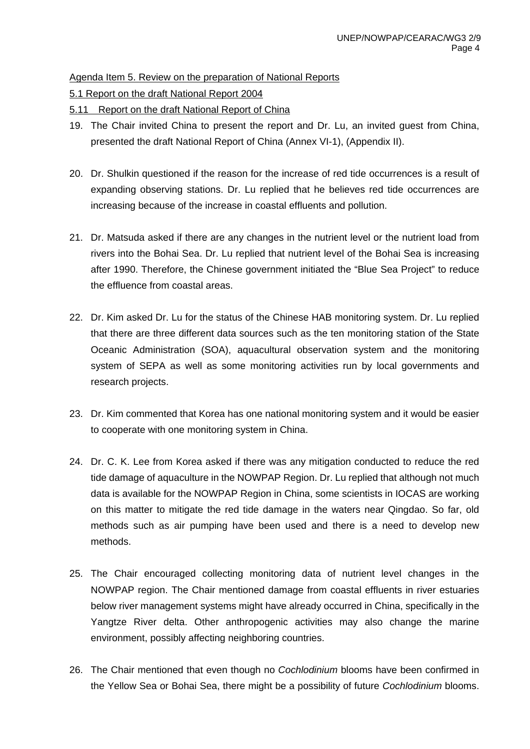Agenda Item 5. Review on the preparation of National Reports

5.1 Report on the draft National Report 2004

5.11 Report on the draft National Report of China

- 19. The Chair invited China to present the report and Dr. Lu, an invited guest from China, presented the draft National Report of China (Annex VI-1), (Appendix II).
- 20. Dr. Shulkin questioned if the reason for the increase of red tide occurrences is a result of expanding observing stations. Dr. Lu replied that he believes red tide occurrences are increasing because of the increase in coastal effluents and pollution.
- 21. Dr. Matsuda asked if there are any changes in the nutrient level or the nutrient load from rivers into the Bohai Sea. Dr. Lu replied that nutrient level of the Bohai Sea is increasing after 1990. Therefore, the Chinese government initiated the "Blue Sea Project" to reduce the effluence from coastal areas.
- 22. Dr. Kim asked Dr. Lu for the status of the Chinese HAB monitoring system. Dr. Lu replied that there are three different data sources such as the ten monitoring station of the State Oceanic Administration (SOA), aquacultural observation system and the monitoring system of SEPA as well as some monitoring activities run by local governments and research projects.
- 23. Dr. Kim commented that Korea has one national monitoring system and it would be easier to cooperate with one monitoring system in China.
- 24. Dr. C. K. Lee from Korea asked if there was any mitigation conducted to reduce the red tide damage of aquaculture in the NOWPAP Region. Dr. Lu replied that although not much data is available for the NOWPAP Region in China, some scientists in IOCAS are working on this matter to mitigate the red tide damage in the waters near Qingdao. So far, old methods such as air pumping have been used and there is a need to develop new methods.
- 25. The Chair encouraged collecting monitoring data of nutrient level changes in the NOWPAP region. The Chair mentioned damage from coastal effluents in river estuaries below river management systems might have already occurred in China, specifically in the Yangtze River delta. Other anthropogenic activities may also change the marine environment, possibly affecting neighboring countries.
- 26. The Chair mentioned that even though no *Cochlodinium* blooms have been confirmed in the Yellow Sea or Bohai Sea, there might be a possibility of future *Cochlodinium* blooms.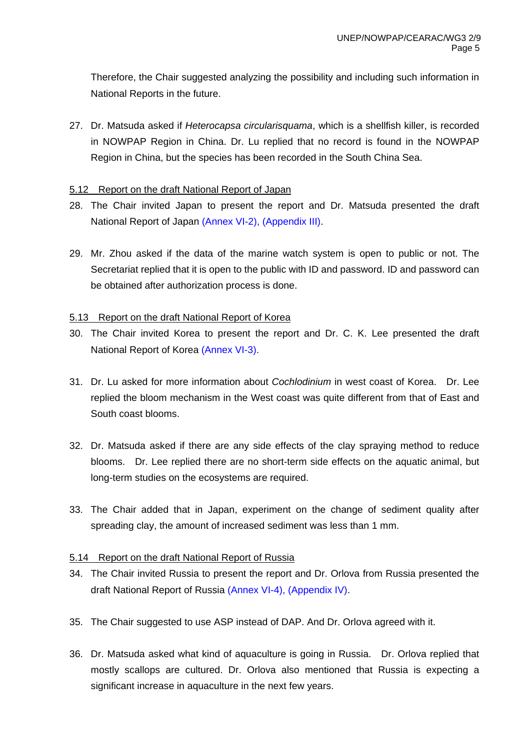Therefore, the Chair suggested analyzing the possibility and including such information in National Reports in the future.

27. Dr. Matsuda asked if *Heterocapsa circularisquama*, which is a shellfish killer, is recorded in NOWPAP Region in China. Dr. Lu replied that no record is found in the NOWPAP Region in China, but the species has been recorded in the South China Sea.

#### 5.12 Report on the draft National Report of Japan

- 28. The Chair invited Japan to present the report and Dr. Matsuda presented the draft National Report of Japan (Annex VI-2), (Appendix III).
- 29. Mr. Zhou asked if the data of the marine watch system is open to public or not. The Secretariat replied that it is open to the public with ID and password. ID and password can be obtained after authorization process is done.

#### 5.13 Report on the draft National Report of Korea

- 30. The Chair invited Korea to present the report and Dr. C. K. Lee presented the draft National Report of Korea (Annex VI-3).
- 31. Dr. Lu asked for more information about *Cochlodinium* in west coast of Korea. Dr. Lee replied the bloom mechanism in the West coast was quite different from that of East and South coast blooms.
- 32. Dr. Matsuda asked if there are any side effects of the clay spraying method to reduce blooms. Dr. Lee replied there are no short-term side effects on the aquatic animal, but long-term studies on the ecosystems are required.
- 33. The Chair added that in Japan, experiment on the change of sediment quality after spreading clay, the amount of increased sediment was less than 1 mm.

#### 5.14 Report on the draft National Report of Russia

- 34. The Chair invited Russia to present the report and Dr. Orlova from Russia presented the draft National Report of Russia (Annex VI-4), (Appendix IV).
- 35. The Chair suggested to use ASP instead of DAP. And Dr. Orlova agreed with it.
- 36. Dr. Matsuda asked what kind of aquaculture is going in Russia. Dr. Orlova replied that mostly scallops are cultured. Dr. Orlova also mentioned that Russia is expecting a significant increase in aquaculture in the next few years.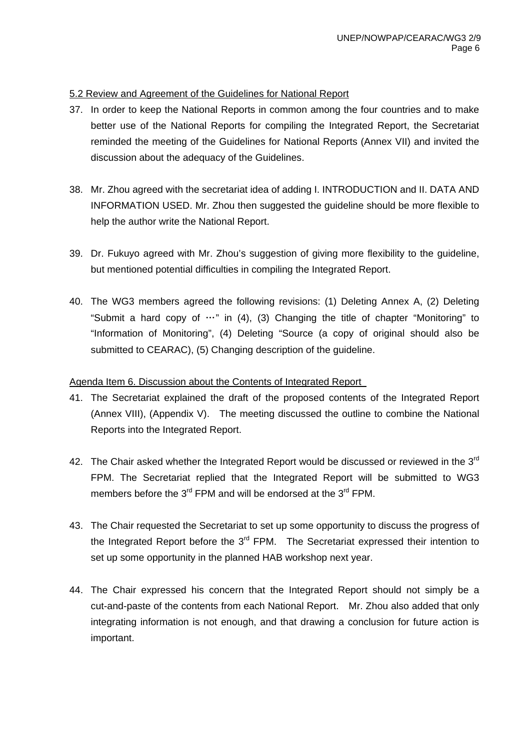#### 5.2 Review and Agreement of the Guidelines for National Report

- 37. In order to keep the National Reports in common among the four countries and to make better use of the National Reports for compiling the Integrated Report, the Secretariat reminded the meeting of the Guidelines for National Reports (Annex VII) and invited the discussion about the adequacy of the Guidelines.
- 38. Mr. Zhou agreed with the secretariat idea of adding I. INTRODUCTION and II. DATA AND INFORMATION USED. Mr. Zhou then suggested the guideline should be more flexible to help the author write the National Report.
- 39. Dr. Fukuyo agreed with Mr. Zhou's suggestion of giving more flexibility to the guideline, but mentioned potential difficulties in compiling the Integrated Report.
- 40. The WG3 members agreed the following revisions: (1) Deleting Annex A, (2) Deleting "Submit a hard copy of  $\cdots$ " in (4), (3) Changing the title of chapter "Monitoring" to "Information of Monitoring", (4) Deleting "Source (a copy of original should also be submitted to CEARAC), (5) Changing description of the guideline.

# Agenda Item 6. Discussion about the Contents of Integrated Report

- 41. The Secretariat explained the draft of the proposed contents of the Integrated Report (Annex VIII), (Appendix V). The meeting discussed the outline to combine the National Reports into the Integrated Report.
- 42. The Chair asked whether the Integrated Report would be discussed or reviewed in the  $3<sup>rd</sup>$ FPM. The Secretariat replied that the Integrated Report will be submitted to WG3 members before the 3<sup>rd</sup> FPM and will be endorsed at the 3<sup>rd</sup> FPM.
- 43. The Chair requested the Secretariat to set up some opportunity to discuss the progress of the Integrated Report before the  $3<sup>rd</sup>$  FPM. The Secretariat expressed their intention to set up some opportunity in the planned HAB workshop next year.
- 44. The Chair expressed his concern that the Integrated Report should not simply be a cut-and-paste of the contents from each National Report. Mr. Zhou also added that only integrating information is not enough, and that drawing a conclusion for future action is important.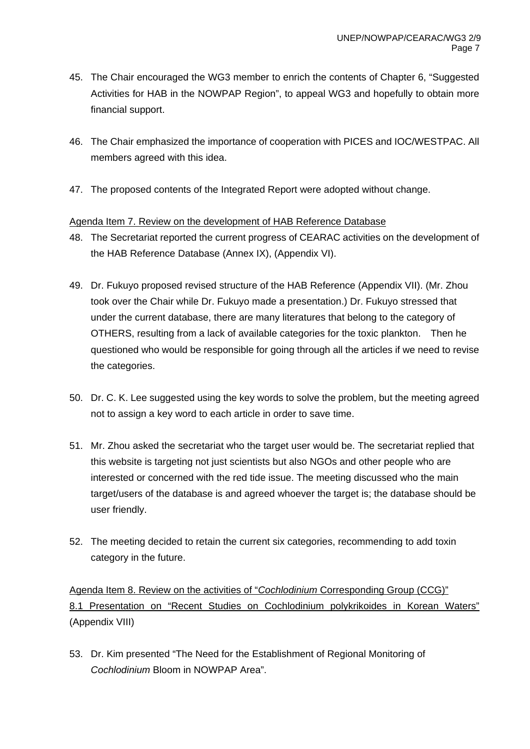- 45. The Chair encouraged the WG3 member to enrich the contents of Chapter 6, "Suggested Activities for HAB in the NOWPAP Region", to appeal WG3 and hopefully to obtain more financial support.
- 46. The Chair emphasized the importance of cooperation with PICES and IOC/WESTPAC. All members agreed with this idea.
- 47. The proposed contents of the Integrated Report were adopted without change.

#### Agenda Item 7. Review on the development of HAB Reference Database

- 48. The Secretariat reported the current progress of CEARAC activities on the development of the HAB Reference Database (Annex IX), (Appendix VI).
- 49. Dr. Fukuyo proposed revised structure of the HAB Reference (Appendix VII). (Mr. Zhou took over the Chair while Dr. Fukuyo made a presentation.) Dr. Fukuyo stressed that under the current database, there are many literatures that belong to the category of OTHERS, resulting from a lack of available categories for the toxic plankton. Then he questioned who would be responsible for going through all the articles if we need to revise the categories.
- 50. Dr. C. K. Lee suggested using the key words to solve the problem, but the meeting agreed not to assign a key word to each article in order to save time.
- 51. Mr. Zhou asked the secretariat who the target user would be. The secretariat replied that this website is targeting not just scientists but also NGOs and other people who are interested or concerned with the red tide issue. The meeting discussed who the main target/users of the database is and agreed whoever the target is; the database should be user friendly.
- 52. The meeting decided to retain the current six categories, recommending to add toxin category in the future.

Agenda Item 8. Review on the activities of "*Cochlodinium* Corresponding Group (CCG)" 8.1 Presentation on "Recent Studies on Cochlodinium polykrikoides in Korean Waters" (Appendix VIII)

53. Dr. Kim presented "The Need for the Establishment of Regional Monitoring of *Cochlodinium* Bloom in NOWPAP Area".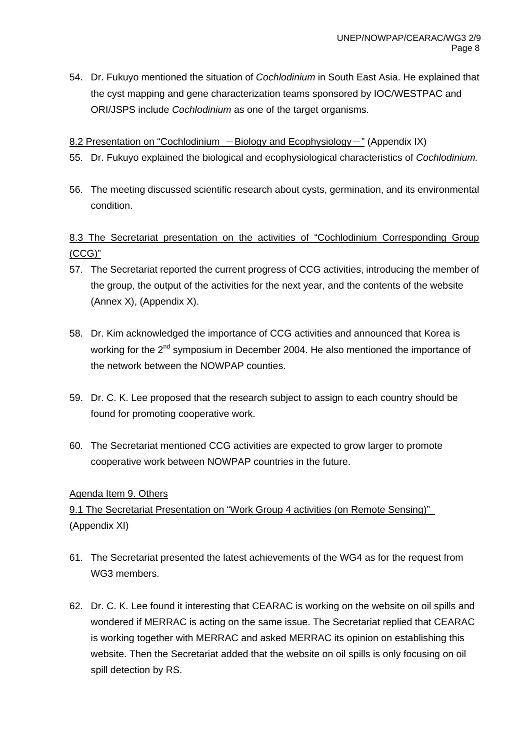54. Dr. Fukuyo mentioned the situation of *Cochlodinium* in South East Asia. He explained that the cyst mapping and gene characterization teams sponsored by IOC/WESTPAC and ORI/JSPS include *Cochlodinium* as one of the target organisms.

#### 8.2 Presentation on "Cochlodinium  $-Bi$ ology and Ecophysiology -" (Appendix IX)

- 55. Dr. Fukuyo explained the biological and ecophysiological characteristics of *Cochlodinium.*
- 56. The meeting discussed scientific research about cysts, germination, and its environmental condition.

# 8.3 The Secretariat presentation on the activities of "Cochlodinium Corresponding Group (CCG)"

- 57. The Secretariat reported the current progress of CCG activities, introducing the member of the group, the output of the activities for the next year, and the contents of the website (Annex X), (Appendix X).
- 58. Dr. Kim acknowledged the importance of CCG activities and announced that Korea is working for the 2<sup>nd</sup> symposium in December 2004. He also mentioned the importance of the network between the NOWPAP counties.
- 59. Dr. C. K. Lee proposed that the research subject to assign to each country should be found for promoting cooperative work.
- 60. The Secretariat mentioned CCG activities are expected to grow larger to promote cooperative work between NOWPAP countries in the future.

#### Agenda Item 9. Others

# 9.1 The Secretariat Presentation on "Work Group 4 activities (on Remote Sensing)" (Appendix XI)

- 61. The Secretariat presented the latest achievements of the WG4 as for the request from WG3 members.
- 62. Dr. C. K. Lee found it interesting that CEARAC is working on the website on oil spills and wondered if MERRAC is acting on the same issue. The Secretariat replied that CEARAC is working together with MERRAC and asked MERRAC its opinion on establishing this website. Then the Secretariat added that the website on oil spills is only focusing on oil spill detection by RS.